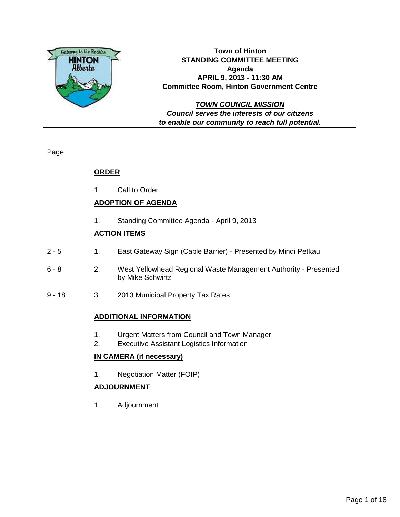

**Town of Hinton STANDING COMMITTEE MEETING Agenda APRIL 9, 2013 - 11:30 AM Committee Room, Hinton Government Centre**

**TOWN COUNCIL MISSION Council serves the interests of our citizens to enable our community to reach full potential.**

Page

### **ORDER**

1. Call to Order

# **ADOPTION OF AGENDA**

1. Standing Committee Agenda - April 9, 2013

### **ACTION ITEMS**

- 2 5 1. East Gateway Sign (Cable Barrier) Presented by Mindi Petkau
- 6 8 2. West Yellowhead Regional Waste Management Authority Presented by Mike Schwirtz
- 9 18 3. 2013 Municipal Property Tax Rates

### **ADDITIONAL INFORMATION**

- 1. Urgent Matters from Council and Town Manager
- 2. Executive Assistant Logistics Information

#### **IN CAMERA (if necessary)**

1. Negotiation Matter (FOIP)

### **ADJOURNMENT**

1. Adjournment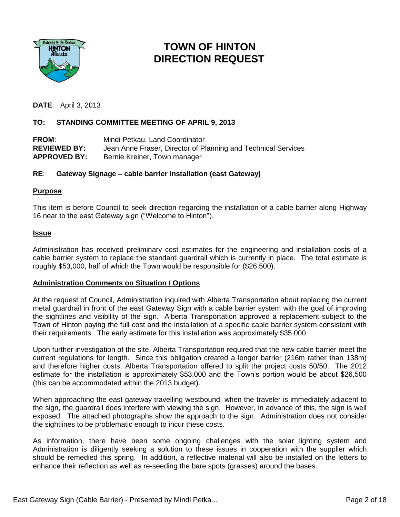

# **TOWN OF HINTON DIRECTION REQUEST**

**DATE**: April 3, 2013

#### **TO: STANDING COMMITTEE MEETING OF APRIL 9, 2013**

**FROM**: Mindi Petkau, Land Coordinator **REVIEWED BY:** Jean Anne Fraser, Director of Planning and Technical Services APPROVED BY: Bernie Kreiner, Town manager

#### **RE**: **Gateway Signage – cable barrier installation (east Gateway)**

#### **Purpose**

This item is before Council to seek direction regarding the installation of a cable barrier along Highway 16 near to the east Gateway sign ("Welcome to Hinton").

#### **Issue**

Administration has received preliminary cost estimates for the engineering and installation costs of a cable barrier system to replace the standard guardrail which is currently in place. The total estimate is roughly \$53,000, half of which the Town would be responsible for (\$26,500).

#### **Administration Comments on Situation / Options**

At the request of Council, Administration inquired with Alberta Transportation about replacing the current metal guardrail in front of the east Gateway Sign with a cable barrier system with the goal of improving the sightlines and visibility of the sign. Alberta Transportation approved a replacement subject to the Town of Hinton paying the full cost and the installation of a specific cable barrier system consistent with their requirements. The early estimate for this installation was approximately \$35,000.

Upon further investigation of the site, Alberta Transportation required that the new cable barrier meet the current regulations for length. Since this obligation created a longer barrier (216m rather than 138m) and therefore higher costs, Alberta Transportation offered to split the project costs 50/50. The 2012 estimate for the installation is approximately \$53,000 and the Town's portion would be about \$26,500 (this can be accommodated within the 2013 budget).

When approaching the east gateway travelling westbound, when the traveler is immediately adjacent to the sign, the guardrail does interfere with viewing the sign. However, in advance of this, the sign is well exposed. The attached photographs show the approach to the sign. Administration does not consider the sightlines to be problematic enough to incur these costs.

As information, there have been some ongoing challenges with the solar lighting system and Administration is diligently seeking a solution to these issues in cooperation with the supplier which should be remedied this spring. In addition, a reflective material will also be installed on the letters to enhance their reflection as well as re-seeding the bare spots (grasses) around the bases.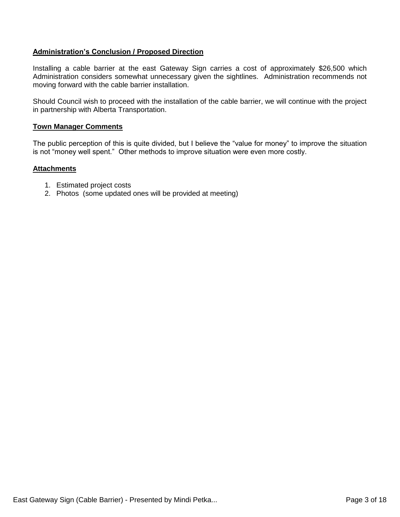#### **Administration's Conclusion / Proposed Direction**

Installing a cable barrier at the east Gateway Sign carries a cost of approximately \$26,500 which Administration considers somewhat unnecessary given the sightlines. Administration recommends not moving forward with the cable barrier installation.

Should Council wish to proceed with the installation of the cable barrier, we will continue with the project in partnership with Alberta Transportation.

#### **Town Manager Comments**

The public perception of this is quite divided, but I believe the "value for money" to improve the situation is not "money well spent." Other methods to improve situation were even more costly.

#### **Attachments**

- 1. Estimated project costs
- 2. Photos (some updated ones will be provided at meeting)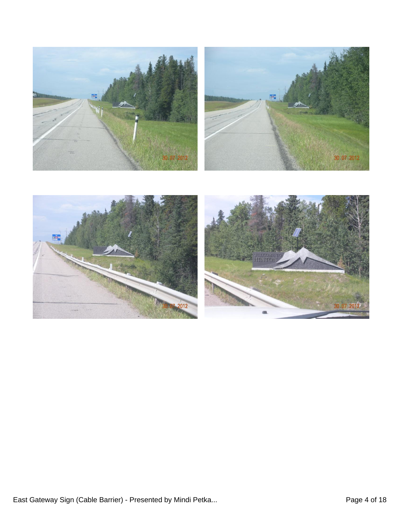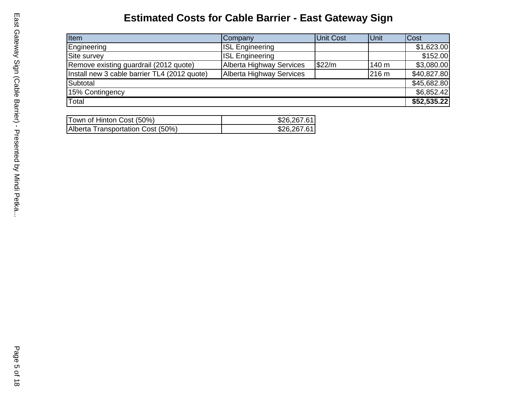# **Estimated Costs for Cable Barrier - East Gateway Sign**

| Item                                         | Company                  | <b>Unit Cost</b> | Unit  | Cost        |
|----------------------------------------------|--------------------------|------------------|-------|-------------|
| Engineering                                  | <b>ISL Engineering</b>   |                  |       | \$1,623.00  |
| Site survey                                  | <b>ISL Engineering</b>   |                  |       | \$152.00    |
| Remove existing guardrail (2012 quote)       | Alberta Highway Services | \$22/m           | 140 m | \$3,080.00  |
| Install new 3 cable barrier TL4 (2012 quote) | Alberta Highway Services |                  | 216 m | \$40,827.80 |
| Subtotal                                     |                          |                  |       | \$45,682.80 |
| 15% Contingency                              |                          |                  |       | \$6,852.42  |
| Total                                        |                          |                  |       | \$52,535.22 |

| \$26,267.61 |
|-------------|
| \$26,267.61 |
|             |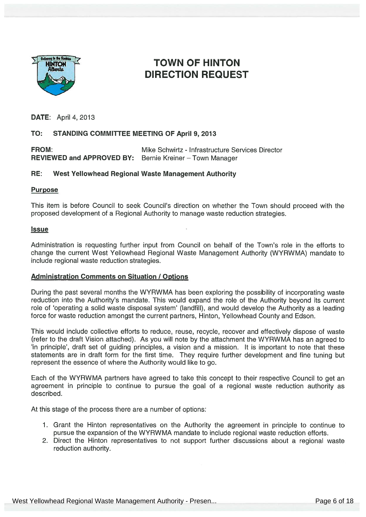

# **TOWN OF HINTON DIRECTION REQUEST**

**DATE:** April 4, 2013

#### TO. **STANDING COMMITTEE MEETING OF April 9, 2013**

**FROM:** Mike Schwirtz - Infrastructure Services Director REVIEWED and APPROVED BY: Bernie Kreiner - Town Manager

#### RE: West Yellowhead Regional Waste Management Authority

#### **Purpose**

This item is before Council to seek Council's direction on whether the Town should proceed with the proposed development of a Regional Authority to manage waste reduction strategies.

#### **Issue**

Administration is requesting further input from Council on behalf of the Town's role in the efforts to change the current West Yellowhead Regional Waste Management Authority (WYRWMA) mandate to include regional waste reduction strategies.

#### **Administration Comments on Situation / Options**

During the past several months the WYRWMA has been exploring the possibility of incorporating waste reduction into the Authority's mandate. This would expand the role of the Authority beyond its current role of 'operating a solid waste disposal system' (landfill), and would develop the Authority as a leading force for waste reduction amongst the current partners, Hinton, Yellowhead County and Edson.

This would include collective efforts to reduce, reuse, recycle, recover and effectively dispose of waste (refer to the draft Vision attached). As you will note by the attachment the WYRWMA has an agreed to 'in principle', draft set of quiding principles, a vision and a mission. It is important to note that these statements are in draft form for the first time. They require further development and fine tuning but represent the essence of where the Authority would like to go.

Each of the WYRWMA partners have agreed to take this concept to their respective Council to get an agreement in principle to continue to pursue the goal of a regional waste reduction authority as described.

At this stage of the process there are a number of options:

- 1. Grant the Hinton representatives on the Authority the agreement in principle to continue to pursue the expansion of the WYRWMA mandate to include regional waste reduction efforts.
- 2. Direct the Hinton representatives to not support further discussions about a regional waste reduction authority.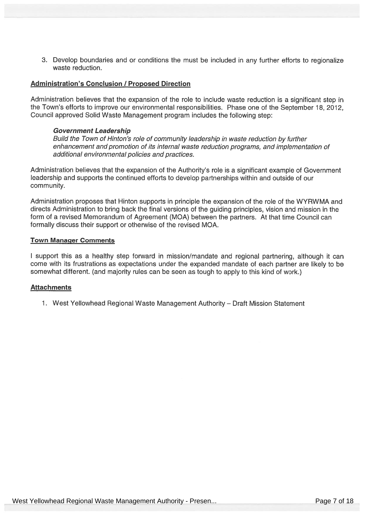3. Develop boundaries and or conditions the must be included in any further efforts to regionalize waste reduction.

#### **Administration's Conclusion / Proposed Direction**

Administration believes that the expansion of the role to include waste reduction is a significant step in the Town's efforts to improve our environmental responsibilities. Phase one of the September 18, 2012, Council approved Solid Waste Management program includes the following step:

#### **Government Leadership**

Build the Town of Hinton's role of community leadership in waste reduction by further enhancement and promotion of its internal waste reduction programs, and implementation of additional environmental policies and practices.

Administration believes that the expansion of the Authority's role is a significant example of Government leadership and supports the continued efforts to develop partnerships within and outside of our community.

Administration proposes that Hinton supports in principle the expansion of the role of the WYRWMA and directs Administration to bring back the final versions of the guiding principles, vision and mission in the form of a revised Memorandum of Agreement (MOA) between the partners. At that time Council can formally discuss their support or otherwise of the revised MOA.

#### **Town Manager Comments**

I support this as a healthy step forward in mission/mandate and regional partnering, although it can come with its frustrations as expectations under the expanded mandate of each partner are likely to be somewhat different. (and majority rules can be seen as tough to apply to this kind of work.)

#### **Attachments**

1. West Yellowhead Regional Waste Management Authority - Draft Mission Statement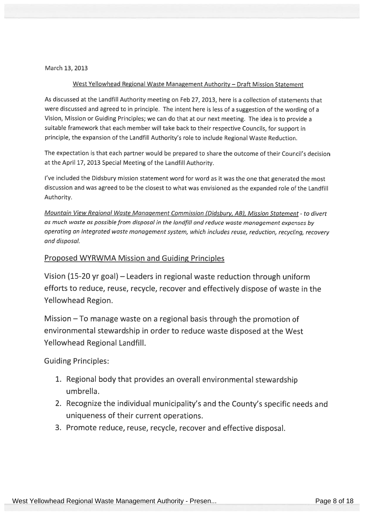#### March 13, 2013

#### West Yellowhead Regional Waste Management Authority - Draft Mission Statement

As discussed at the Landfill Authority meeting on Feb 27, 2013, here is a collection of statements that were discussed and agreed to in principle. The intent here is less of a suggestion of the wording of a Vision, Mission or Guiding Principles; we can do that at our next meeting. The idea is to provide a suitable framework that each member will take back to their respective Councils, for support in principle, the expansion of the Landfill Authority's role to include Regional Waste Reduction.

The expectation is that each partner would be prepared to share the outcome of their Council's decision at the April 17, 2013 Special Meeting of the Landfill Authority.

I've included the Didsbury mission statement word for word as it was the one that generated the most discussion and was agreed to be the closest to what was envisioned as the expanded role of the Landfill Authority.

Mountain View Regional Waste Management Commission (Didsbury, AB), Mission Statement - to divert as much waste as possible from disposal in the landfill and reduce waste management expenses by operating an integrated waste management system, which includes reuse, reduction, recycling, recovery and disposal.

# **Proposed WYRWMA Mission and Guiding Principles**

Vision (15-20 yr goal) – Leaders in regional waste reduction through uniform efforts to reduce, reuse, recycle, recover and effectively dispose of waste in the Yellowhead Region.

Mission – To manage waste on a regional basis through the promotion of environmental stewardship in order to reduce waste disposed at the West Yellowhead Regional Landfill.

**Guiding Principles:** 

- 1. Regional body that provides an overall environmental stewardship umbrella.
- 2. Recognize the individual municipality's and the County's specific needs and uniqueness of their current operations.
- 3. Promote reduce, reuse, recycle, recover and effective disposal.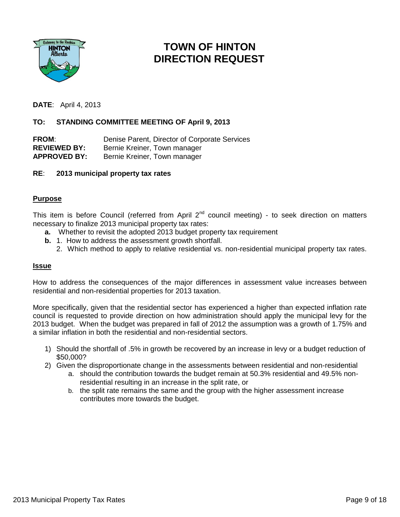

# **TOWN OF HINTON DIRECTION REQUEST**

**DATE**: April 4, 2013

### **TO: STANDING COMMITTEE MEETING OF April 9, 2013**

**FROM:** Denise Parent, Director of Corporate Services **REVIEWED BY:** Bernie Kreiner, Town manager APPROVED BY: Bernie Kreiner, Town manager

#### **RE**: **2013 municipal property tax rates**

#### **Purpose**

This item is before Council (referred from April  $2^{nd}$  council meeting) - to seek direction on matters necessary to finalize 2013 municipal property tax rates:

- **a.** Whether to revisit the adopted 2013 budget property tax requirement
- **b.** 1. How to address the assessment growth shortfall.
	- 2. Which method to apply to relative residential vs. non-residential municipal property tax rates.

#### **Issue**

How to address the consequences of the major differences in assessment value increases between residential and non-residential properties for 2013 taxation.

More specifically, given that the residential sector has experienced a higher than expected inflation rate council is requested to provide direction on how administration should apply the municipal levy for the 2013 budget. When the budget was prepared in fall of 2012 the assumption was a growth of 1.75% and a similar inflation in both the residential and non-residential sectors.

- 1) Should the shortfall of .5% in growth be recovered by an increase in levy or a budget reduction of \$50,000?
- 2) Given the disproportionate change in the assessments between residential and non-residential
	- a. should the contribution towards the budget remain at 50.3% residential and 49.5% nonresidential resulting in an increase in the split rate, or
	- b. the split rate remains the same and the group with the higher assessment increase contributes more towards the budget.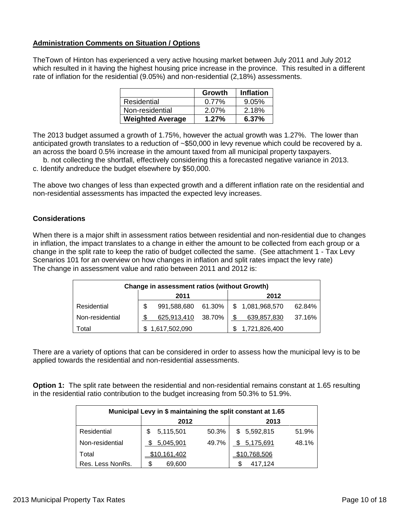#### **Administration Comments on Situation / Options**

TheTown of Hinton has experienced a very active housing market between July 2011 and July 2012 which resulted in it having the highest housing price increase in the province. This resulted in a different rate of inflation for the residential (9.05%) and non-residential (2,18%) assessments.

|                         | Growth   | Inflation |
|-------------------------|----------|-----------|
| <b>Residential</b>      | 0.77%    | 9.05%     |
| Non-residential         | $2.07\%$ | 2.18%     |
| <b>Weighted Average</b> | 1.27%    | 6.37%     |

The 2013 budget assumed a growth of 1.75%, however the actual growth was 1.27%. The lower than anticipated growth translates to a reduction of ~\$50,000 in levy revenue which could be recovered by a. an across the board 0.5% increase in the amount taxed from all municipal property taxpayers.

 b. not collecting the shortfall, effectively considering this a forecasted negative variance in 2013. c. Identify andreduce the budget elsewhere by \$50,000.

The above two changes of less than expected growth and a different inflation rate on the residential and non-residential assessments has impacted the expected levy increases.

#### **Considerations**

When there is a major shift in assessment ratios between residential and non-residential due to changes in inflation, the impact translates to a change in either the amount to be collected from each group or a change in the split rate to keep the ratio of budget collected the same. (See attachment 1 - Tax Levy Scenarios 101 for an overview on how changes in inflation and split rates impact the levy rate) The change in assessment value and ratio between 2011 and 2012 is:

| <b>Change in assessment ratios (without Growth)</b> |    |               |           |  |                 |        |
|-----------------------------------------------------|----|---------------|-----------|--|-----------------|--------|
|                                                     |    | 2011          |           |  | 2012            |        |
| Residential                                         | \$ | 991,588,680   | $61.30\%$ |  | \$1,081,968,570 | 62.84% |
| Non-residential                                     |    | 625,913,410   | 38.70%    |  | 639,857,830     | 37.16% |
| Total                                               | S. | 1,617,502,090 |           |  | 1,721,826,400   |        |

There are a variety of options that can be considered in order to assess how the municipal levy is to be applied towards the residential and non-residential assessments.

**Option 1:** The split rate between the residential and non-residential remains constant at 1.65 resulting in the residential ratio contribution to the budget increasing from 50.3% to 51.9%.

| Municipal Levy in \$ maintaining the split constant at 1.65 |                    |       |              |       |  |  |
|-------------------------------------------------------------|--------------------|-------|--------------|-------|--|--|
|                                                             | 2012               |       | 2013         |       |  |  |
| Residential                                                 | 5,115,501<br>S     | 50.3% | \$5,592,815  | 51.9% |  |  |
| Non-residential                                             | \$5,045,901        | 49.7% | \$5,175,691  | 48.1% |  |  |
| Total                                                       | 10. <u>161.402</u> |       | \$10,768,506 |       |  |  |
| Res. Less NonRs.                                            | \$<br>69,600       |       | 417.124      |       |  |  |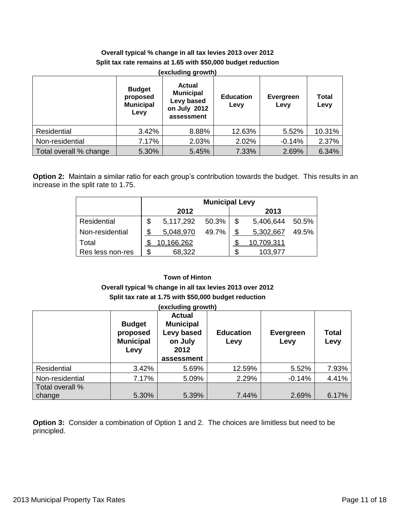### **Overall typical % change in all tax levies 2013 over 2012 Split tax rate remains at 1.65 with \$50,000 budget reduction**

| (excluding growth)     |                                                       |                                                                                                           |        |                          |                      |  |  |  |
|------------------------|-------------------------------------------------------|-----------------------------------------------------------------------------------------------------------|--------|--------------------------|----------------------|--|--|--|
|                        | <b>Budget</b><br>proposed<br><b>Municipal</b><br>Levy | <b>Actual</b><br><b>Municipal</b><br><b>Education</b><br>Levy based<br>Levy<br>on July 2012<br>assessment |        | <b>Evergreen</b><br>Levy | <b>Total</b><br>Levy |  |  |  |
| Residential            | 3.42%                                                 | 8.88%                                                                                                     | 12.63% | 5.52%                    | 10.31%               |  |  |  |
| Non-residential        | 7.17%                                                 | 2.03%                                                                                                     | 2.02%  | $-0.14%$                 | 2.37%                |  |  |  |
| Total overall % change | 5.30%                                                 | 5.45%                                                                                                     | 7.33%  | 2.69%                    | 6.34%                |  |  |  |

**Option 2:** Maintain a similar ratio for each group's contribution towards the budget. This results in an increase in the split rate to 1.75.

|                  | <b>Municipal Levy</b> |       |    |            |       |
|------------------|-----------------------|-------|----|------------|-------|
|                  | 2012                  |       |    | 2013       |       |
| Residential      | \$<br>5,117,292       | 50.3% | \$ | 5,406,644  | 50.5% |
| Non-residential  | 5,048,970             | 49.7% |    | 5,302,667  | 49.5% |
| Total            | 10,166,262            |       |    | 10,709,311 |       |
| Res less non-res | \$<br>68,322          |       |    | 103,977    |       |

### **Town of Hinton Overall typical % change in all tax levies 2013 over 2012 Split tax rate at 1.75 with \$50,000 budget reduction**

| (excluding growth)        |                                                       |                                                                                  |                          |                          |                      |  |  |  |
|---------------------------|-------------------------------------------------------|----------------------------------------------------------------------------------|--------------------------|--------------------------|----------------------|--|--|--|
|                           | <b>Budget</b><br>proposed<br><b>Municipal</b><br>Levy | <b>Actual</b><br><b>Municipal</b><br>Levy based<br>on July<br>2012<br>assessment | <b>Education</b><br>Levy | <b>Evergreen</b><br>Levy | <b>Total</b><br>Levy |  |  |  |
| Residential               | 3.42%                                                 | 5.69%                                                                            | 12.59%                   | 5.52%                    | 7.93%                |  |  |  |
| Non-residential           | 7.17%                                                 | 5.09%                                                                            | 2.29%                    | $-0.14%$                 | 4.41%                |  |  |  |
| Total overall %<br>change | 5.30%                                                 | 5.39%                                                                            | 7.44%                    | 2.69%                    | 6.17%                |  |  |  |

**Option 3:** Consider a combination of Option 1 and 2. The choices are limitless but need to be principled.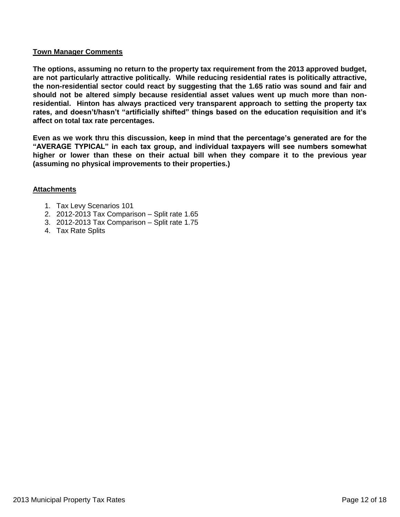#### **Town Manager Comments**

**The options, assuming no return to the property tax requirement from the 2013 approved budget, are not particularly attractive politically. While reducing residential rates is politically attractive, the non-residential sector could react by suggesting that the 1.65 ratio was sound and fair and should not be altered simply because residential asset values went up much more than nonresidential. Hinton has always practiced very transparent approach to setting the property tax rates, and doesn't/hasn't "artificially shifted" things based on the education requisition and it's affect on total tax rate percentages.**

**Even as we work thru this discussion, keep in mind that the percentage's generated are for the "AVERAGE TYPICAL" in each tax group, and individual taxpayers will see numbers somewhat higher or lower than these on their actual bill when they compare it to the previous year (assuming no physical improvements to their properties.)** 

#### **Attachments**

- 1. Tax Levy Scenarios 101
- 2. 2012-2013 Tax Comparison Split rate 1.65
- 3. 2012-2013 Tax Comparison Split rate 1.75
- 4. Tax Rate Splits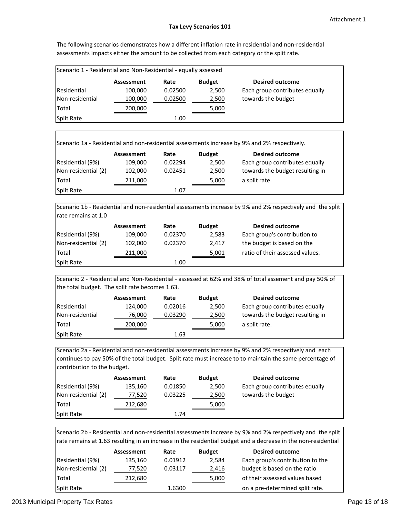The following scenarios demonstrates how a different inflation rate in residential and non-residential assessments impacts either the amount to be collected from each category or the split rate.

| Scenario 1 - Residential and Non-Residential - equally assessed |            |         |               |                                |  |
|-----------------------------------------------------------------|------------|---------|---------------|--------------------------------|--|
|                                                                 | Assessment | Rate    | <b>Budget</b> | <b>Desired outcome</b>         |  |
| Residential                                                     | 100,000    | 0.02500 | 2,500         | Each group contributes equally |  |
| Non-residential                                                 | 100,000    | 0.02500 | 2,500         | towards the budget             |  |
| Total                                                           | 200,000    |         | 5,000         |                                |  |
| Split Rate                                                      |            | 1.00    |               |                                |  |

Scenario 1a - Residential and non-residential assessments increase by 9% and 2% respectively.

|                     | Assessment | Rate    | <b>Budget</b> | <b>Desired outcome</b>          |
|---------------------|------------|---------|---------------|---------------------------------|
| Residential (9%)    | 109.000    | 0.02294 | 2.500         | Each group contributes equally  |
| Non-residential (2) | 102,000    | 0.02451 | 2,500         | towards the budget resulting in |
| Total               | 211,000    |         | 5,000         | a split rate.                   |
| <b>Split Rate</b>   |            | 1.07    |               |                                 |

Scenario 1b - Residential and non-residential assessments increase by 9% and 2% respectively and the split rate remains at 1.0

|                     | Assessment | Rate    | <b>Budget</b> | <b>Desired outcome</b>          |
|---------------------|------------|---------|---------------|---------------------------------|
| Residential (9%)    | 109,000    | 0.02370 | 2,583         | Each group's contribution to    |
| Non-residential (2) | 102,000    | 0.02370 | 2,417         | the budget is based on the      |
| Total               | 211,000    |         | 5,001         | ratio of their assessed values. |
| <b>Split Rate</b>   |            | 1.00    |               |                                 |

Scenario 2 - Residential and Non-Residential - assessed at 62% and 38% of total assement and pay 50% of the total budget. The split rate becomes 1.63.

|                 | Assessment | Rate    | <b>Budget</b> | <b>Desired outcome</b>          |
|-----------------|------------|---------|---------------|---------------------------------|
| Residential     | 124,000    | 0.02016 | 2,500         | Each group contributes equally  |
| Non-residential | 76,000     | 0.03290 | 2,500         | towards the budget resulting in |
| Total           | 200,000    |         | 5,000         | a split rate.                   |
| Split Rate      |            | 1.63    |               |                                 |

Scenario 2a - Residential and non-residential assessments increase by 9% and 2% respectively and each continues to pay 50% of the total budget. Split rate must increase to to maintain the same percentage of contribution to the budget.

|                     | Assessment | Rate    | <b>Budget</b> | <b>Desired outcome</b>         |
|---------------------|------------|---------|---------------|--------------------------------|
| Residential (9%)    | 135,160    | 0.01850 | 2.500         | Each group contributes equally |
| Non-residential (2) | 77,520     | 0.03225 | 2,500         | towards the budget             |
| Total               | 212,680    |         | 5,000         |                                |
| Split Rate          |            | 1.74    |               |                                |

| Scenario 2b - Residential and non-residential assessments increase by 9% and 2% respectively and the split<br>rate remains at 1.63 resulting in an increase in the residential budget and a decrease in the non-residential |            |         |               |                                  |  |  |  |  |  |  |  |
|-----------------------------------------------------------------------------------------------------------------------------------------------------------------------------------------------------------------------------|------------|---------|---------------|----------------------------------|--|--|--|--|--|--|--|
|                                                                                                                                                                                                                             | Assessment | Rate    | <b>Budget</b> | <b>Desired outcome</b>           |  |  |  |  |  |  |  |
| Residential (9%)                                                                                                                                                                                                            | 135,160    | 0.01912 | 2,584         | Each group's contribution to the |  |  |  |  |  |  |  |
| Non-residential (2)                                                                                                                                                                                                         | 77,520     | 0.03117 | 2,416         | budget is based on the ratio     |  |  |  |  |  |  |  |
| Total                                                                                                                                                                                                                       | 212,680    |         | 5,000         | of their assessed values based   |  |  |  |  |  |  |  |
| <b>Split Rate</b>                                                                                                                                                                                                           |            | 1.6300  |               | on a pre-determined split rate.  |  |  |  |  |  |  |  |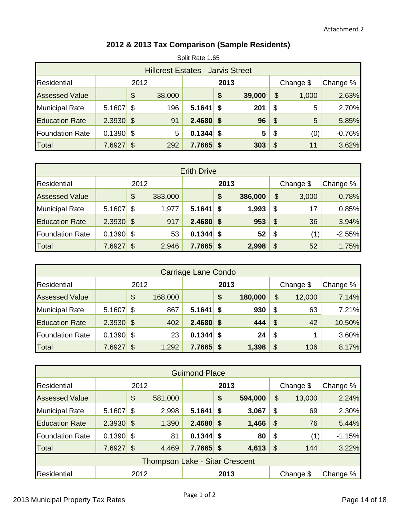|                                                      | Split Rate 1.65 |                       |        |             |    |        |    |       |          |  |  |  |
|------------------------------------------------------|-----------------|-----------------------|--------|-------------|----|--------|----|-------|----------|--|--|--|
| <b>Hillcrest Estates - Jarvis Street</b>             |                 |                       |        |             |    |        |    |       |          |  |  |  |
| Residential<br>2012<br>2013<br>Change %<br>Change \$ |                 |                       |        |             |    |        |    |       |          |  |  |  |
| <b>Assessed Value</b>                                |                 | $\boldsymbol{\theta}$ | 38,000 |             | \$ | 39,000 | \$ | 1,000 | 2.63%    |  |  |  |
| <b>Municipal Rate</b>                                | 5.1607          | - \$                  | 196    | $5.1641$ \$ |    | 201    | S  | 5     | 2.70%    |  |  |  |
| <b>Education Rate</b>                                | $2.3930$ \$     |                       | 91     | $2.4680$ \$ |    | 96     | \$ | 5     | 5.85%    |  |  |  |
| <b>Foundation Rate</b>                               | 0.1390          | - \$                  | 5      | $0.1344$ \$ |    | 5      | \$ | (0)   | $-0.76%$ |  |  |  |
| Total                                                | 7.6927          | - \$                  | 292    | 7.7665 \$   |    | 303    | \$ | 11    | 3.62%    |  |  |  |

|                        |             |                       |         | <b>Erith Drive</b> |      |           |    |          |          |
|------------------------|-------------|-----------------------|---------|--------------------|------|-----------|----|----------|----------|
| <b>Residential</b>     |             | 2012                  |         |                    | 2013 | Change \$ |    | Change % |          |
| <b>Assessed Value</b>  |             | $\boldsymbol{\theta}$ | 383,000 |                    | \$   | 386,000   | \$ | 3,000    | 0.78%    |
| <b>Municipal Rate</b>  | 5.1607      | \$                    | 1,977   | $5.1641$ \$        |      | 1,993     | \$ | 17       | 0.85%    |
| <b>Education Rate</b>  | $2.3930$ \$ |                       | 917     | 2.4680             | - \$ | 953       | \$ | 36       | 3.94%    |
| <b>Foundation Rate</b> | $0.1390$ \$ |                       | 53      | $0.1344$ \$        |      | 52        | \$ | (1)      | $-2.55%$ |
| Total                  | 7.6927      | $\mathcal{S}$         | 2,946   | $7.7665$ \$        |      | 2,998     | \$ | 52       | 1.75%    |

| <b>Carriage Lane Condo</b> |             |      |         |             |             |         |           |          |        |  |  |
|----------------------------|-------------|------|---------|-------------|-------------|---------|-----------|----------|--------|--|--|
| Residential                |             | 2012 | 2013    |             |             |         | Change \$ | Change % |        |  |  |
| <b>Assessed Value</b>      |             | \$   | 168,000 |             | \$          | 180,000 | \$        | 12,000   | 7.14%  |  |  |
| <b>Municipal Rate</b>      | 5.1607      | \$   | 867     | 5.1641      | S           | 930     | S         | 63       | 7.21%  |  |  |
| <b>Education Rate</b>      | $2.3930$ \$ |      | 402     | 2.4680      | $\mathbf 3$ | 444     | \$        | 42       | 10.50% |  |  |
| <b>Foundation Rate</b>     | 0.1390      | \$   | 23      | $0.1344$ \$ |             | 24      | \$        |          | 3.60%  |  |  |
| Total                      | 7.6927      | S    | 1,292   | 7.7665      |             | 1,398   | \$        | 106      | 8.17%  |  |  |

|                                       |        |                       |         | <b>Guimond Place</b> |     |         |                           |           |          |  |  |
|---------------------------------------|--------|-----------------------|---------|----------------------|-----|---------|---------------------------|-----------|----------|--|--|
| Residential                           | 2012   |                       |         | 2013                 |     |         |                           | Change \$ | Change % |  |  |
| <b>Assessed Value</b>                 |        | $\boldsymbol{\theta}$ | 581,000 |                      | \$  | 594,000 | \$                        | 13,000    | 2.24%    |  |  |
| <b>Municipal Rate</b>                 | 5.1607 | \$                    | 2,998   | 5.1641               | \$  | 3,067   | \$                        | 69        | 2.30%    |  |  |
| <b>Education Rate</b>                 | 2.3930 | $\mathcal{S}$         | 1,390   | 2.4680               | -\$ | 1,466   | \$                        | 76        | 5.44%    |  |  |
| <b>Foundation Rate</b>                | 0.1390 | \$                    | 81      | $0.1344$ \$          |     | 80      | \$                        | (1)       | $-1.15%$ |  |  |
| Total                                 | 7.6927 | \$                    | 4,469   | 7.7665               | -\$ | 4,613   | $\boldsymbol{\mathsf{S}}$ | 144       | 3.22%    |  |  |
| <b>Thompson Lake - Sitar Crescent</b> |        |                       |         |                      |     |         |                           |           |          |  |  |
| Residential                           | 2012   |                       |         | 2013                 |     |         |                           | Change \$ | Change % |  |  |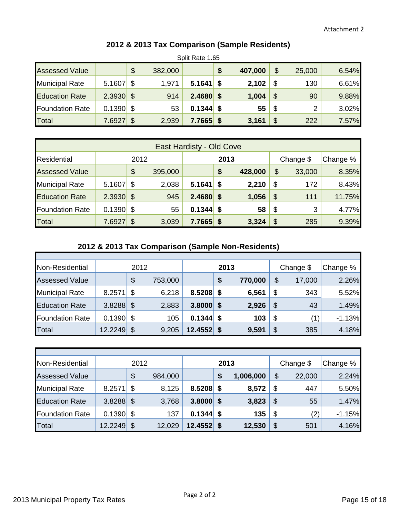|                        | Split Rate 1.65 |                       |         |             |    |         |    |        |       |  |  |
|------------------------|-----------------|-----------------------|---------|-------------|----|---------|----|--------|-------|--|--|
| <b>Assessed Value</b>  |                 | $\boldsymbol{\theta}$ | 382,000 |             | \$ | 407,000 | \$ | 25,000 | 6.54% |  |  |
| <b>Municipal Rate</b>  | $5.1607$ \$     |                       | 1,971   | $5.1641$ \$ |    | 2,102   |    | 130    | 6.61% |  |  |
| <b>Education Rate</b>  | $2.3930$ \$     |                       | 914     | $2.4680$ \$ |    | 1,004   |    | 90     | 9.88% |  |  |
| <b>Foundation Rate</b> | $0.1390$ \$     |                       | 53      | $0.1344$ \$ |    | 55      |    | 2      | 3.02% |  |  |
| Total                  | 7.6927          | $\mathcal{S}$         | 2,939   | $7.7665$ \$ |    | 3,161   |    | 222    | 7.57% |  |  |

|                        |        |                       |         | East Hardisty - Old Cove |     |         |              |          |
|------------------------|--------|-----------------------|---------|--------------------------|-----|---------|--------------|----------|
| Residential            | 2012   |                       |         |                          |     | 2013    | Change \$    | Change % |
| <b>Assessed Value</b>  |        | $\boldsymbol{\theta}$ | 395,000 |                          | \$  | 428,000 | \$<br>33,000 | 8.35%    |
| <b>Municipal Rate</b>  | 5.1607 | \$                    | 2,038   | 5.1641                   | -\$ | 2,210   | \$<br>172    | 8.43%    |
| <b>Education Rate</b>  | 2.3930 | \$                    | 945     | 2.4680                   | \$  | 1,056   | \$<br>111    | 11.75%   |
| <b>Foundation Rate</b> | 0.1390 | \$                    | 55      | 0.1344                   | -\$ | 58      | \$<br>3      | 4.77%    |
| Total                  | 7.6927 | \$                    | 3,039   | 7.7665                   | S   | 3,324   | \$<br>285    | 9.39%    |

# **2012 & 2013 Tax Comparison (Sample Non-Residents)**

| Non-Residential        | 2012        |                       |         | 2013        |    |         |    | Change \$ | Change % |
|------------------------|-------------|-----------------------|---------|-------------|----|---------|----|-----------|----------|
| <b>Assessed Value</b>  |             | $\boldsymbol{\theta}$ | 753,000 |             | \$ | 770,000 |    | 17,000    | 2.26%    |
| <b>Municipal Rate</b>  | 8.2571      | \$                    | 6,218   | $8.5208$ \$ |    | 6,561   |    | 343       | 5.52%    |
| <b>Education Rate</b>  | $3.8288$ \$ |                       | 2,883   | 3.8000      |    | 2,926   | \$ | 43        | 1.49%    |
| <b>Foundation Rate</b> | $0.1390$ \$ |                       | 105     | $0.1344$ \$ |    | 103     |    | (1)       | $-1.13%$ |
| Total                  | 12.2249     | \$                    | 9,205   | 12.4552     |    | 9,591   | \$ | 385       | 4.18%    |

| Non-Residential        | 2012    |    |         |             | 2013 |           | Change \$    | Change % |
|------------------------|---------|----|---------|-------------|------|-----------|--------------|----------|
| <b>Assessed Value</b>  |         | \$ | 984,000 |             | \$   | 1,006,000 | \$<br>22,000 | 2.24%    |
| <b>Municipal Rate</b>  | 8.2571  | \$ | 8,125   | 8.5208      | S.   | 8,572     | \$<br>447    | 5.50%    |
| <b>Education Rate</b>  | 3.8288  | \$ | 3,768   | 3.8000      |      | 3,823     | \$<br>55     | 1.47%    |
| <b>Foundation Rate</b> | 0.1390  | \$ | 137     | $0.1344$ \$ |      | 135       | \$<br>(2)    | $-1.15%$ |
| Total                  | 12.2249 | S  | 12,029  | 12.4552     | S    | 12,530    | \$<br>501    | 4.16%    |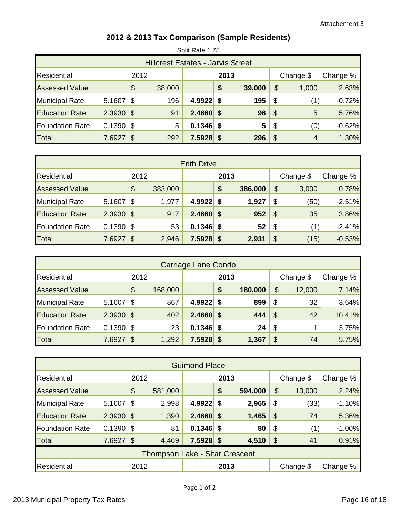|                                                             |             |    |        | Split Rate 1.75 |      |        |    |                |          |  |  |  |
|-------------------------------------------------------------|-------------|----|--------|-----------------|------|--------|----|----------------|----------|--|--|--|
| <b>Hillcrest Estates - Jarvis Street</b>                    |             |    |        |                 |      |        |    |                |          |  |  |  |
| <b>Residential</b><br>2012<br>Change \$<br>Change %<br>2013 |             |    |        |                 |      |        |    |                |          |  |  |  |
| <b>Assessed Value</b>                                       |             | \$ | 38,000 |                 | \$   | 39,000 | \$ | 1,000          | 2.63%    |  |  |  |
| <b>Municipal Rate</b>                                       | 5.1607      | \$ | 196    | 4.9922          | - \$ | 195    | \$ | (1)            | $-0.72%$ |  |  |  |
| <b>Education Rate</b>                                       | $2.3930$ \$ |    | 91     | 2.4660          | S    | 96     | \$ | $5\phantom{.}$ | 5.76%    |  |  |  |
| <b>Foundation Rate</b>                                      | 0.1390      | \$ | 5      | 0.1346          | - \$ | 5      | \$ | (0)            | $-0.62%$ |  |  |  |
| Total                                                       | $7.6927$ \$ |    | 292    | 7.5928          | - \$ | 296    | \$ | 4              | 1.30%    |  |  |  |

| <b>Erith Drive</b>     |             |                       |         |             |      |         |           |       |          |  |  |
|------------------------|-------------|-----------------------|---------|-------------|------|---------|-----------|-------|----------|--|--|
| Residential            |             | 2012                  |         |             |      | 2013    | Change \$ |       | Change % |  |  |
| <b>Assessed Value</b>  |             | $\boldsymbol{\theta}$ | 383,000 |             | \$   | 386,000 | \$        | 3,000 | 0.78%    |  |  |
| <b>Municipal Rate</b>  | 5.1607      | \$                    | 1,977   | 4.9922      | - \$ | 1,927   | S         | (50)  | $-2.51%$ |  |  |
| <b>Education Rate</b>  | $2.3930$ \$ |                       | 917     | $2.4660$ \$ |      | 952     | \$        | 35    | 3.86%    |  |  |
| <b>Foundation Rate</b> | 0.1390      | -\$                   | 53      | $0.1346$ \$ |      | 52      | S         | (1)   | $-2.41%$ |  |  |
| Total                  | 7.6927      | \$                    | 2,946   | 7.5928      | - \$ | 2,931   | \$        | (15)  | $-0.53%$ |  |  |

| <b>Carriage Lane Condo</b> |        |                       |         |             |    |           |                           |          |        |  |
|----------------------------|--------|-----------------------|---------|-------------|----|-----------|---------------------------|----------|--------|--|
| <b>Residential</b>         |        |                       | 2012    | 2013        |    | Change \$ |                           | Change % |        |  |
| <b>Assessed Value</b>      |        | $\boldsymbol{\theta}$ | 168,000 |             | \$ | 180,000   | \$                        | 12,000   | 7.14%  |  |
| <b>Municipal Rate</b>      | 5.1607 | -\$                   | 867     | $4.9922$ \$ |    | 899       | S                         | 32       | 3.64%  |  |
| <b>Education Rate</b>      | 2.3930 | \$                    | 402     | $2.4660$ \$ |    | 444       | $\boldsymbol{\mathsf{S}}$ | 42       | 10.41% |  |
| <b>Foundation Rate</b>     | 0.1390 | \$                    | 23      | $0.1346$ \$ |    | 24        | \$                        |          | 3.75%  |  |
| Total                      | 7.6927 | \$                    | 1,292   | 7.5928      |    | 1,367     | \$                        | 74       | 5.75%  |  |

| <b>Guimond Place</b>                  |        |                       |         |        |                           |         |    |           |          |
|---------------------------------------|--------|-----------------------|---------|--------|---------------------------|---------|----|-----------|----------|
| Residential                           | 2012   |                       |         |        | 2013                      |         |    | Change \$ | Change % |
| <b>Assessed Value</b>                 |        | $\boldsymbol{\theta}$ | 581,000 |        | \$                        | 594,000 | \$ | 13,000    | 2.24%    |
| <b>Municipal Rate</b>                 | 5.1607 | \$                    | 2,998   | 4.9922 | \$                        | 2,965   | \$ | (33)      | $-1.10%$ |
| <b>Education Rate</b>                 | 2.3930 | $\mathcal{S}$         | 1,390   | 2.4660 | \$                        | 1,465   | \$ | 74        | 5.36%    |
| <b>Foundation Rate</b>                | 0.1390 | \$                    | 81      | 0.1346 | \$                        | 80      | \$ | (1)       | $-1.00%$ |
| Total                                 | 7.6927 | $\mathcal{S}$         | 4,469   | 7.5928 | $\boldsymbol{\mathsf{s}}$ | 4,510   | \$ | 41        | 0.91%    |
| <b>Thompson Lake - Sitar Crescent</b> |        |                       |         |        |                           |         |    |           |          |
| Residential                           |        | 2012                  |         |        | 2013                      |         |    | Change \$ | Change % |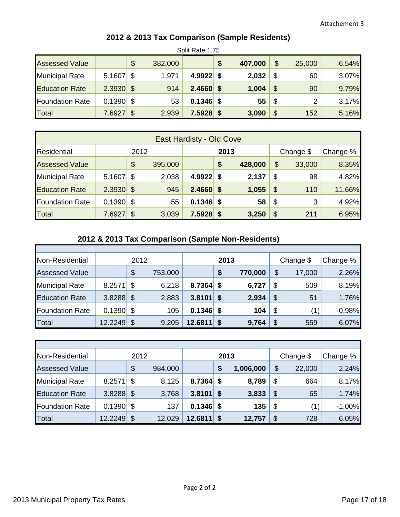| Split Rate 1.75        |             |    |         |             |    |         |    |                |       |
|------------------------|-------------|----|---------|-------------|----|---------|----|----------------|-------|
| <b>Assessed Value</b>  |             | \$ | 382,000 |             | \$ | 407,000 | \$ | 25,000         | 6.54% |
| <b>Municipal Rate</b>  | $5.1607$ \$ |    | 1,971   | $4.9922$ \$ |    | 2,032   |    | 60             | 3.07% |
| <b>Education Rate</b>  | $2.3930$ \$ |    | 914     | $2.4660$ \$ |    | 1,004   |    | 90             | 9.79% |
| <b>Foundation Rate</b> | $0.1390$ \$ |    | 53      | $0.1346$ \$ |    | 55      |    | $\overline{2}$ | 3.17% |
| Total                  | 7.6927      | \$ | 2,939   | 7.5928      | \$ | 3,090   |    | 152            | 5.16% |

| East Hardisty - Old Cove |             |                       |         |             |    |         |           |        |          |  |
|--------------------------|-------------|-----------------------|---------|-------------|----|---------|-----------|--------|----------|--|
| <b>Residential</b>       |             | 2012                  |         | 2013        |    |         | Change \$ |        | Change % |  |
| <b>Assessed Value</b>    |             | $\boldsymbol{\theta}$ | 395,000 |             | \$ | 428,000 | \$        | 33,000 | 8.35%    |  |
| <b>Municipal Rate</b>    | 5.1607      | -\$                   | 2,038   | $4.9922$ \$ |    | 2,137   | S         | 98     | 4.82%    |  |
| <b>Education Rate</b>    | $2.3930$ \$ |                       | 945     | $2.4660$ \$ |    | 1,055   | \$        | 110    | 11.66%   |  |
| <b>Foundation Rate</b>   | 0.1390      | - \$                  | 55      | $0.1346$ \$ |    | 58      | \$        | 3      | 4.92%    |  |
| Total                    | 7.6927      | $\mathcal{S}$         | 3,039   | $7.5928$ \$ |    | 3,250   | \$        | 211    | 6.95%    |  |

# **2012 & 2013 Tax Comparison (Sample Non-Residents)**

| Non-Residential        |         | 2012                  |         |             | 2013 |         |    | Change \$ | Change % |
|------------------------|---------|-----------------------|---------|-------------|------|---------|----|-----------|----------|
| <b>Assessed Value</b>  |         | $\boldsymbol{\theta}$ | 753,000 |             | \$   | 770,000 | \$ | 17,000    | 2.26%    |
| <b>Municipal Rate</b>  | 8.2571  | \$                    | 6,218   | 8.7364      | -\$  | 6,727   |    | 509       | 8.19%    |
| <b>Education Rate</b>  | 3.8288  | -\$                   | 2,883   | 3.8101      | £.   | 2,934   | S  | 51        | 1.76%    |
| <b>Foundation Rate</b> | 0.1390  | - \$                  | 105     | $0.1346$ \$ |      | 104     |    | (1)       | $-0.98%$ |
| Total                  | 12.2249 | -\$                   | 9,205   | 12.6811     | \$   | 9,764   | S  | 559       | 6.07%    |

| Non-Residential        |         | 2012 |         |         |     | 2013      | Change \$    | Change % |
|------------------------|---------|------|---------|---------|-----|-----------|--------------|----------|
| <b>Assessed Value</b>  |         | \$   | 984,000 |         | \$  | 1,006,000 | \$<br>22,000 | 2.24%    |
| <b>Municipal Rate</b>  | 8.2571  | \$   | 8,125   | 8.7364  | -\$ | 8,789     | \$<br>664    | 8.17%    |
| <b>Education Rate</b>  | 3.8288  | -\$  | 3,768   | 3.8101  | \$  | 3,833     | \$<br>65     | 1.74%    |
| <b>Foundation Rate</b> | 0.1390  | -\$  | 137     | 0.1346  | -\$ | 135       | \$<br>(1)    | $-1.00%$ |
| Total                  | 12.2249 | -\$  | 12,029  | 12.6811 | \$  | 12,757    | \$<br>728    | 6.05%    |

ī